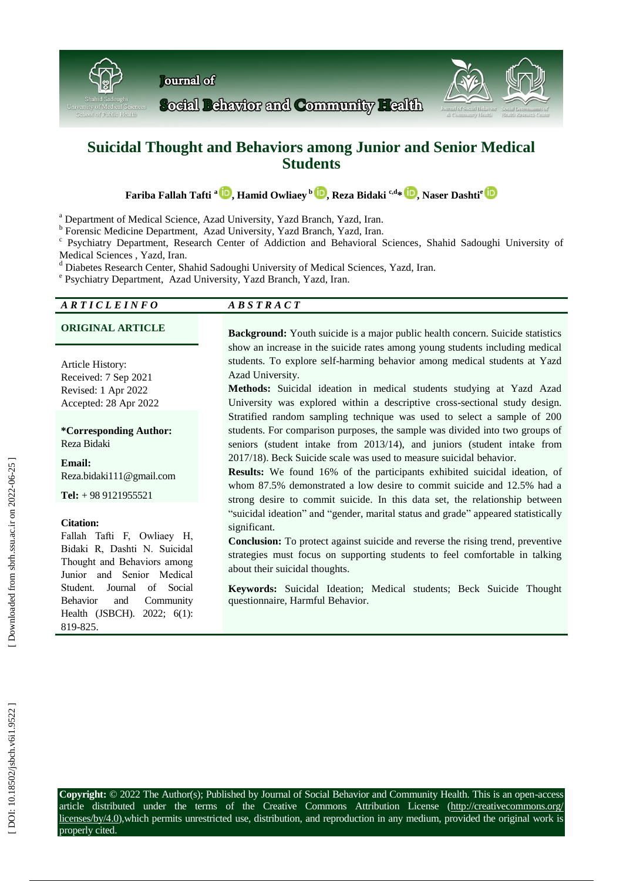

# **Suicidal Thought and Behaviors among Junior and Senior Medical Students**

 $\mathbf{F}$ ariba Fallah Tafti  $^{\mathrm{a}}$   $\mathbf{D}$ [,](https://orcid.org/0000-0002-5482-9143) Hamid Owliaey  $^{\mathrm{b}}$   $\mathbf{D}$ , Reza Bidaki  $^{\mathrm{c,d}}$   $^{\mathrm{s}}$   $\mathbf{D}$ , Naser Dashti $^{\mathrm{c}}$ 

<sup>a</sup> Department of Medical Science, Azad University, Yazd Branch, Yazd, Iran.

<sup>b</sup> Forensic Medicine Department, Azad University, Yazd Branch, Yazd, Iran.

c Psychiatry Department, Research Center of Addiction and Behavioral Sciences , Shahid Sadoughi University of

Medical Sciences , Yazd, Iran.<br><sup>d</sup> Diabetes Research Center, Shahid Sadoughi University of Medical Sciences, Yazd, Iran.

Psychiatry Department, Azad University, Yazd Branch, Yazd, Iran.

#### *A R T I C L E I N F O A B S T R A C T*

Article History: Received: 7 Sep 2021 Revised: 1 Apr 2022 Accepted: 28 Apr 2022

**\*Corresponding Author:** Reza Bidaki

**Email:** Reza.bidaki111@gmail.com

**Tel:** + 98 9121955521

# **Citation:**

Fallah Tafti F, Owliaey H, Bidaki R, Dashti N. Suicidal Thought and Behaviors among Junior and Senior Medical Student . Journal of Social Behavior and Community Health (JSBCH). 2022; 6(1): 819 -825 .

**ORIGINAL ARTICLE Background:** Youth suicide is a major public health concern. Suicide statistics show an increase in the suicide rates among young students including medical students. To explore self -harming behavior among medical students at Yazd Azad University.

> **Method s :** Suicidal ideation in medical students studying at Yazd Azad University was explored within a descriptive cross -sectional study design. Stratified random sampling technique was used to select a sample of 200 students. For comparison purposes , the sample was divided into two groups of seniors (student intake from 2013/14), and juniors (student intake from 2017/18). Beck Suicide scale was used to measure suicidal behavior .

> **Results:** We found 16% of the participants exhibited suicidal ideation, of whom 87.5% demonstrated a low desire to commit suicide and 12.5% had a strong desire to commit suicide. In this data set , the relationship between "suicidal ideation" and "gender, marital status and grade" appeared statistically significant.

> **Conclusion:** To protect against suicide and reverse the rising trend , preventive strategies must focus on supporting students to feel comfortable in talking about their suicidal thoughts.

> **Keywords:** Suicidal Ideation; Medical students; Beck Suicide Thought questionnaire, Harmful Behavior .

Downloaded from sbrh.ssu.ac.ir on 2022-06-25

**Copyright:** © 2022 The Author(s); Published by Journal of Social Behavior and Community Health. This is an open -access article distributed under the terms of the Creative Commons Attribution License (http://creativecommons.org/ licenses/by/4.0),which permits unrestricted use, distribution, and reproduction in any medium, provided the original work is properly cited.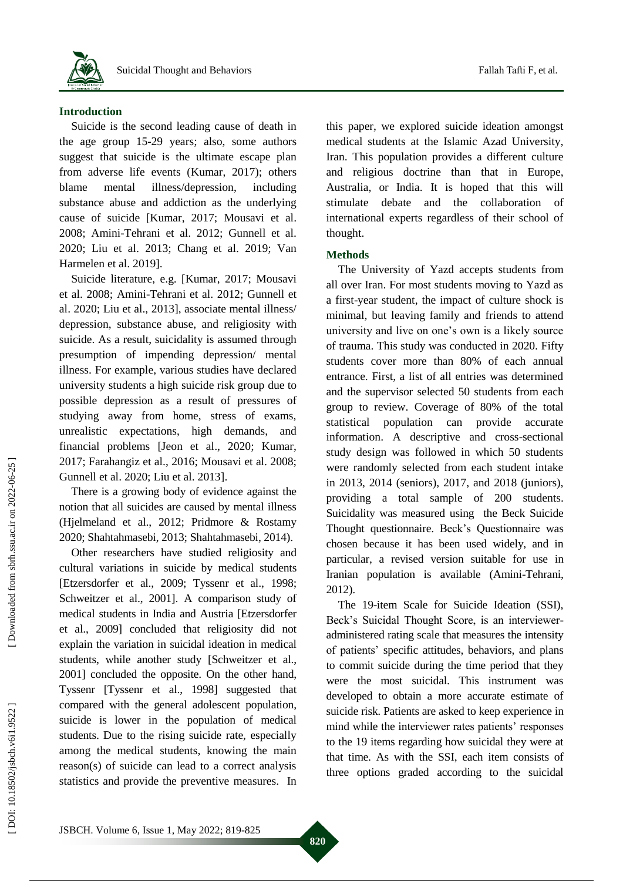

#### **Introduction**

Suicide is the second leading cause of death in the age group 15 -29 years ; also , some authors suggest that suicide is the ultimate escape plan from adverse life event s (Kumar, 2017) ; others blame mental illness/depression, including substance abuse and addiction as the underlying cause of suicide [Kumar, 2017; Mousavi et al. 2008; Amini [-Tehrani et al. 2012;](https://www.sciencedirect.com/science/article/abs/pii/S1876201819307282#!) Gunnell et al. 2020; Liu et al. 2013; Chang et al. 2019; Van Harmelen et al. 2019]. Suicide literature, e.g. [Kumar, 2017 ; Mousavi

et al. 2008; Amini [-Tehrani](https://www.sciencedirect.com/science/article/abs/pii/S1876201819307282#!) et al. 2012; Gunnell et al. 2020; Liu et al., 2013], associate mental illness/ depression, substance abuse, and religiosity with suicide. As a result, suicidality is assumed through presumption of impending depression/ mental illness . For example, various studies have declared university students a high suicide risk group due to possible depression as a result of pressures of studying away from home, stress of exams, unrealistic expectations, high demands, and financial problems [Jeon et al., 2020; Kumar, 2017; Farahangiz et al., 2016; Mousavi et al. 2008; Gunnell et al. 2020; Liu et al. 2013].

There is a growing body of evidence against the notion that all suicides are caused by mental illness (Hjelmeland et al., 201 2; Pridmore & Rostamy 2020; Shahtahmasebi , 2013; Shahtahmasebi, 2014).

Other researchers have studied religiosity and cultural variations in suicide by medical students [Etzersdorfer et al., 2009; Tyssenr et al., 1998; Schweitzer et al., 2001]. A comparison study of medical students in India and Austria [Etzersdorfer et al., 2009] concluded that religiosity did not explain the variation in suicidal ideation in medical students, while another study [Schweitzer et al., 2001] concluded the opposite. On the other hand, Tyssenr [Tyssenr et al., 1998] suggested that compared with the general adolescent population , suicide is lower in the population of medical students . Due to the rising suicide rate, especially among the medical students, knowing the main reason(s) of suicide can lead to a correct analysis statistics and provide the preventive measures. In

this paper, we explored suicide ideation amongst medical students at the Islamic Azad University, Iran. This population provide s a different culture and religious doctrine than that in Europe, Australia, or India. It is hoped that this will stimulate debate and the collaboration of

international experts regardless of their school of

#### **Methods**

thought.

The University of Yazd accepts students from all over Iran. For most students moving to Yazd as a first -year student , the impact of culture shock is minimal, but leaving family and friend s to attend university and live on one's own is a likely source of trauma. This study was conducted in 2020. Fifty students cover more than 80% of each annual entrance. First, a list of all entries was determined and the supervisor selected 50 students from each group to review. Coverage of 80% of the total statistical population can provide accurate information. A descriptive and cross -sectional study design was followed in which 50 students were randomly selected from each student intake in 2013, 2014 (seniors), 2017, and 2018 (juniors), providing a total sample of 200 students . Suicidality was measured using the Beck Suicide Thought questionnaire . Beck's Questionnaire was chosen because it has been used widely, and in particular , a revised version suitable for use in Iranian population is available (Amini -Tehrani, 2012).

The 19 -item Scale for Suicide Ideation (SSI), Beck's Suicidal Thought Score, is an interviewer administered rating scale that measures the intensity of patients' specific attitudes, behaviors, and plans to commit suicide during the time period that they were the most suicidal. This instrument was developed to obtain a more accurate estimate of suicide risk. Patients are asked to keep experience in mind while the interviewer rates patients' responses to the 19 items regarding how suicidal they were at that time. As with the SSI, each item consists of three options graded according to the suicidal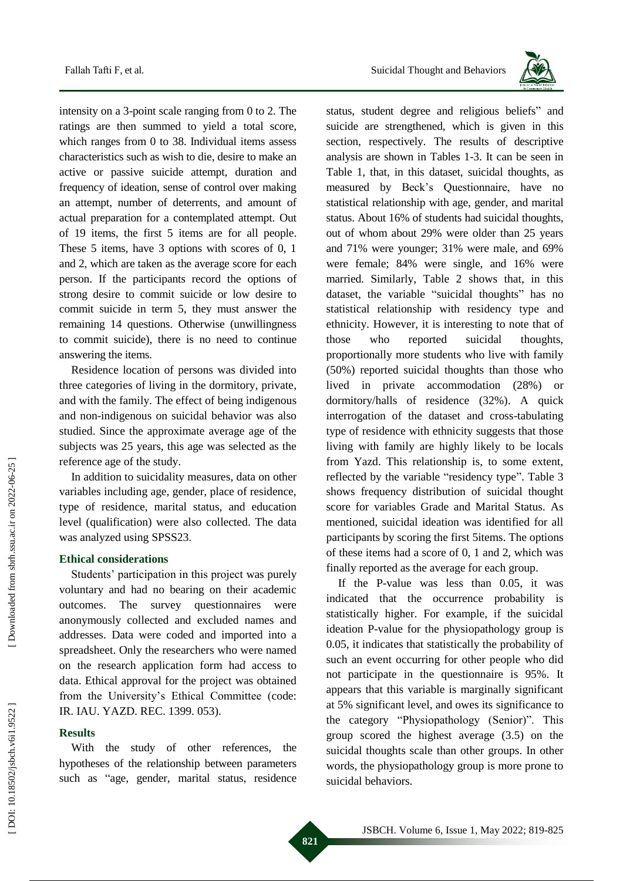intensity on a 3 -point scale ranging from 0 to 2. The ratings are then summed to yield a total score, which ranges from 0 to 38. Individual items assess characteristics such as wish to die, desire to make an active or passive suicide attempt, duration and frequency of ideation, sense of control over making an attempt, number of deterrents, and amount of actual preparation for a contemplated attempt. Out of 19 items, the first 5 items are for all people. These 5 items, have 3 options with scores of 0, 1 and 2, which are taken as the average score for each person. If the participants record the options of strong desire to commit suicide or low desire to commit suicide in term 5, they must answer the remaining 14 questions. Otherwise (unwillingness to commit suicide) , there is no need to continue answering the items .

Residence location of persons was divided into three categories of living in the dormitory, private , and with the family. The effect of being indigenous and non -indigenous on suicidal behavior was also studied. Since the approximate average age of the subjects was 25 years, this age was selected as the reference age of the study.

In addition to suicidality measure s, data on other variables including age, gender, place of residence, type of residence, marital status, and education level (qualification) were also collected. The data was analyzed using SPSS23 .

#### **Ethical considerations**

Students' participation in this project was purely voluntary and had no bearing on their academic outcomes. The survey questionnaires were anonymously collected and excluded names and addresses. Data were coded and imported into a spreadsheet. Only the researchers who were named on the research application form had access to data. Ethical approval for the project was obtained from the University's Ethical Committee (code: IR. IAU. YAZD. REC. 1399. 053).

#### **Results**

With the study of other references, the hypotheses of the relationship between parameters such as "age, gender, marital status, residence



status, student degree and religious beliefs " and suicide are strengthened, which is given in this section, respectively. The results of descriptive analysis are shown in Tables 1 -3. It can be seen in Table 1 , that, in this dataset, suicidal thoughts, as measured by Beck's Questionnaire, have no statistical relationship with age, gender, and marital status. About 16% of students had suicidal thoughts, out of whom about 29% were older than 25 years and 71% were younger; 31% were male, and 69% were female; 84% were single, and 16% were married. Similarly, Table 2 shows that, in this dataset, the variable "suicidal thoughts " has no statistical relationship with residency type and ethnicity. However, it is interesting to note that of those who reported suicidal thoughts, proportionally more students who live with family (50%) reported suicidal thoughts than those who lived in private accommodation (28%) or dormitory/halls of residence (32%). A quick interrogation of the dataset and cross -tabulating type of residence with ethnicity suggests that those living with family are highly likely to be locals from Yazd. This relationship is, to some extent, reflected by the variable "residency type". Table 3 shows frequency distribution of suicidal thought score for variables Grade and Marital Status. As mentioned, suicidal ideation was identified for all participants by scoring the first 5items. The options of these items had a score of 0, 1 and 2, which was finally reported as the average for each group.

If the P -value was less than 0.05, it was indicated that the occurrence probability is statistically higher. For example, if the suicidal ideation P -value for the physiopathology group is 0.05, it indicates that statistically the probability of such an event occurring for other people who did not participate in the questionnaire is 95%. It appears that this variable is marginally significant at 5% significant level, and owes its significance to the category "Physiopathology (Senior)". This group scored the highest average (3.5 ) on the suicidal thoughts scale than other groups. In other words, the physiopathology group is more prone to suicidal behaviors.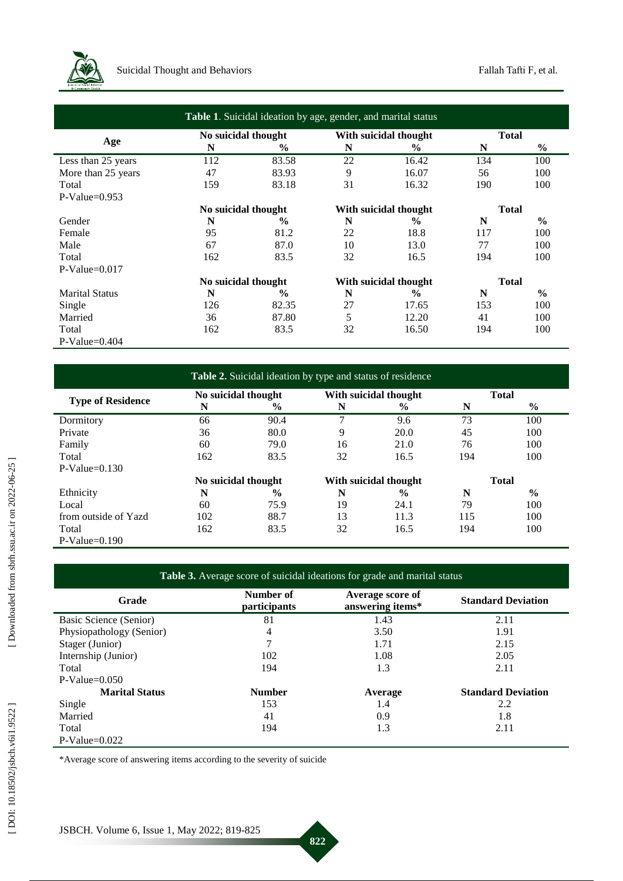

| Table 1. Suicidal ideation by age, gender, and marital status |                     |               |                       |               |              |               |  |
|---------------------------------------------------------------|---------------------|---------------|-----------------------|---------------|--------------|---------------|--|
| Age                                                           | No suicidal thought |               | With suicidal thought |               | <b>Total</b> |               |  |
|                                                               | N                   | $\frac{6}{9}$ | N                     | $\frac{6}{9}$ | N            | $\frac{6}{9}$ |  |
| Less than 25 years                                            | 112                 | 83.58         | 22                    | 16.42         | 134          | 100           |  |
| More than 25 years                                            | 47                  | 83.93         | 9                     | 16.07         | 56           | 100           |  |
| Total                                                         | 159                 | 83.18         | 31                    | 16.32         | 190          | 100           |  |
| $P-Value=0.953$                                               |                     |               |                       |               |              |               |  |
|                                                               | No suicidal thought |               | With suicidal thought |               | <b>Total</b> |               |  |
| Gender                                                        | N                   | $\frac{6}{9}$ | N                     | $\frac{6}{9}$ | N            | $\frac{6}{6}$ |  |
| Female                                                        | 95                  | 81.2          | 22                    | 18.8          | 117          | 100           |  |
| Male                                                          | 67                  | 87.0          | 10                    | 13.0          | 77           | 100           |  |
| Total                                                         | 162                 | 83.5          | 32                    | 16.5          | 194          | 100           |  |
| $P-Value=0.017$                                               |                     |               |                       |               |              |               |  |
|                                                               | No suicidal thought |               | With suicidal thought |               | <b>Total</b> |               |  |
| <b>Marital Status</b>                                         | N                   | $\frac{6}{9}$ | N                     | $\frac{6}{9}$ | N            | $\frac{6}{6}$ |  |
| Single                                                        | 126                 | 82.35         | 27                    | 17.65         | 153          | 100           |  |
| Married                                                       | 36                  | 87.80         | 5                     | 12.20         | 41           | 100           |  |
| Total                                                         | 162                 | 83.5          | 32                    | 16.50         | 194          | 100           |  |
| $P-Value=0.404$                                               |                     |               |                       |               |              |               |  |

| Table 2. Suicidal ideation by type and status of residence |                     |               |                       |               |              |               |  |
|------------------------------------------------------------|---------------------|---------------|-----------------------|---------------|--------------|---------------|--|
| <b>Type of Residence</b>                                   | No suicidal thought |               | With suicidal thought |               | <b>Total</b> |               |  |
|                                                            | N                   | $\frac{6}{6}$ | N                     | $\frac{6}{9}$ | N            | $\%$          |  |
| Dormitory                                                  | 66                  | 90.4          | 7                     | 9.6           | 73           | 100           |  |
| Private                                                    | 36                  | 80.0          | 9                     | 20.0          | 45           | 100           |  |
| Family                                                     | 60                  | 79.0          | 16                    | 21.0          | 76           | 100           |  |
| Total                                                      | 162                 | 83.5          | 32                    | 16.5          | 194          | 100           |  |
| $P-Value=0.130$                                            |                     |               |                       |               |              |               |  |
|                                                            | No suicidal thought |               | With suicidal thought |               | <b>Total</b> |               |  |
| Ethnicity                                                  | N                   | $\frac{0}{0}$ | N                     | $\frac{0}{0}$ | N            | $\frac{6}{6}$ |  |
| Local                                                      | 60                  | 75.9          | 19                    | 24.1          | 79           | 100           |  |
| from outside of Yazd                                       | 102                 | 88.7          | 13                    | 11.3          | 115          | 100           |  |
| Total                                                      | 162                 | 83.5          | 32                    | 16.5          | 194          | 100           |  |
| $P-Value=0.190$                                            |                     |               |                       |               |              |               |  |

| Grade                    | Number of<br><i>participants</i> | Average score of<br>answering items* | <b>Standard Deviation</b> |
|--------------------------|----------------------------------|--------------------------------------|---------------------------|
| Basic Science (Senior)   | 81                               | 1.43                                 | 2.11                      |
| Physiopathology (Senior) | 4                                | 3.50                                 | 1.91                      |
| Stager (Junior)          |                                  | 1.71                                 | 2.15                      |
| Internship (Junior)      | 102                              | 1.08                                 | 2.05                      |
| Total                    | 194                              | 1.3                                  | 2.11                      |
| $P-Value=0.050$          |                                  |                                      |                           |
| <b>Marital Status</b>    | <b>Number</b>                    | Average                              | <b>Standard Deviation</b> |
| Single                   | 153                              | 1.4                                  | 2.2                       |
| Married                  | 41                               | 0.9                                  | 1.8                       |
| Total                    | 194                              | 1.3                                  | 2.11                      |
| $P-Value=0.022$          |                                  |                                      |                           |

**822**

\*Average score of answering items according to the severity of suicide

<u> The Common State of the Common Sta</u>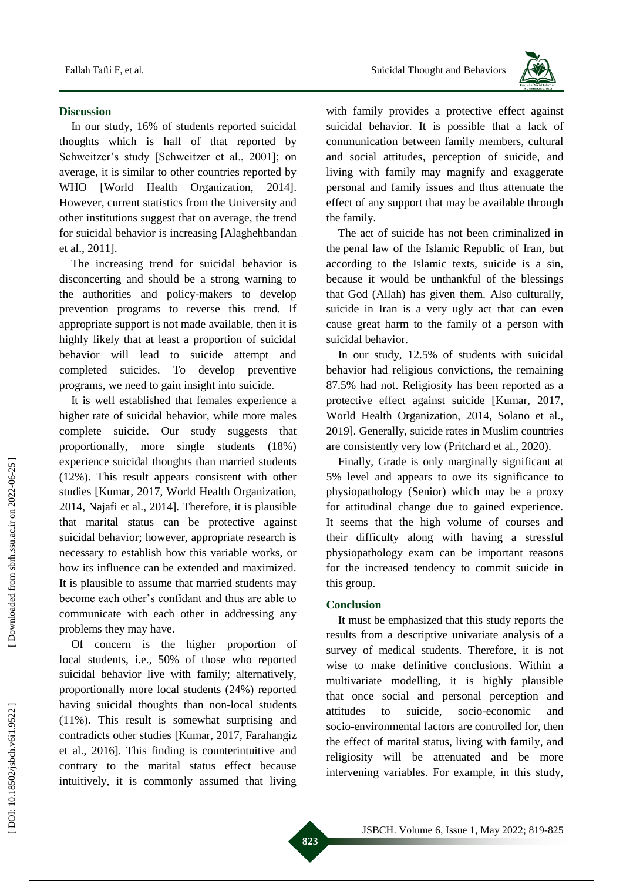#### **Discussion**

In our study , 16% of students reported suicidal thoughts which is half of that reported by Schweitzer's study [Schweitzer et al., 2001]; on average , it is similar to other countries reported by WHO [World Health Organization, 2014]. However, current statistics from the University and other institutions suggest that on average , the trend for suici dal behavior is increasing [Alaghehbandan et al., 2011].

The increasing trend for suicidal behavior is disconcerting and should be a strong warning to the authorities and policy -makers to develop prevention programs to reverse this trend. If appropriate support is not made available , then it is highly likely that at least a proportion of suicidal behavior will lead to suicide attempt and completed suicides. To develop preventive programs , we need to gain insight into suicide.

It is well established that females experience a higher rate of suicidal behavior, while more males complete suicide. Our study suggest s that proportionally , more single students (18%) experience suicidal thoughts than married students (12%). This result appears consistent with other studies [Kumar, 2017, World Health Organization, 2014, Najafi et al., 2014]. Therefore , it is plausible that marital status can be protective against suicidal behavior ; however, appropriate research is necessary to establish how this variable works, or how its influence can be extended and maximized. It is plausible to assume that married students may become each other's confidant and thus are able to communicate with each other in addressing any problems they may have.

Of concern is the higher proportion of local students, i.e. , 50% of those who reported suicidal behavior live with family; alternatively, proportionally more local students (24%) reported having suicidal thoughts than non -local students (11%). This result is somewhat surprising and contradicts other studies [Kumar, 2017 , Farahangiz et al., 201 6 ] . This finding is counterintuitive and contrary to the marital status effect because intuitively , it is commonly assumed that living



with family provides a protective effect against suicidal behavior . It is possible that a lack of communication between family members, cultural and social attitudes , perception of suicide, and living with family may magnify and exaggerate personal and family issues and thus attenuate the effect of any support that may be available through the family.

The act of suicide has not been criminalized in the [penal law of the Islamic Republic of Iran,](https://en.wikipedia.org/wiki/Judicial_system_of_Iran) but according to the Islamic texts, suicide is a sin, because it would be unthankful of the blessings that God (Allah) has given them. Also culturally, suicide in Iran is a very ugly act that can even cause great harm to the family of a person with suicidal behavior.

In our study, 12.5% of students with suicidal behavior had religious convictions, the remaining 87.5% had not. Religiosity has been reported as a protective effect against suicide [Kumar, 2017, World Health Organization, 2014, Solano et al., 2019]. Generally, suicide rates in Muslim countries are consistently very low (Pritchard et al., 2020).

Finally, Grade is only marginally significant at 5% level and appears to owe its significance to physiopathology (Senior) which may be a proxy for attitudinal change due to gained experience. It seems that the high volume of courses and their difficulty along with having a stressful physiopathology exam can be important reasons for the increased tendency to commit suicide in this group.

#### **Conclusion**

It must be emphasized that this study reports the results from a descriptive univariate analysis of a survey of medical students. Therefore, it is not wise to make definitive conclusions. Within a multivariate modelling, it is highly plausible that once social and personal perception and attitudes to suicide. socio-economic and socio -environmental factors are controlled for , then the effect of marital status, living with family, and religiosity will be attenuated and be more intervening variables. For example, in this study,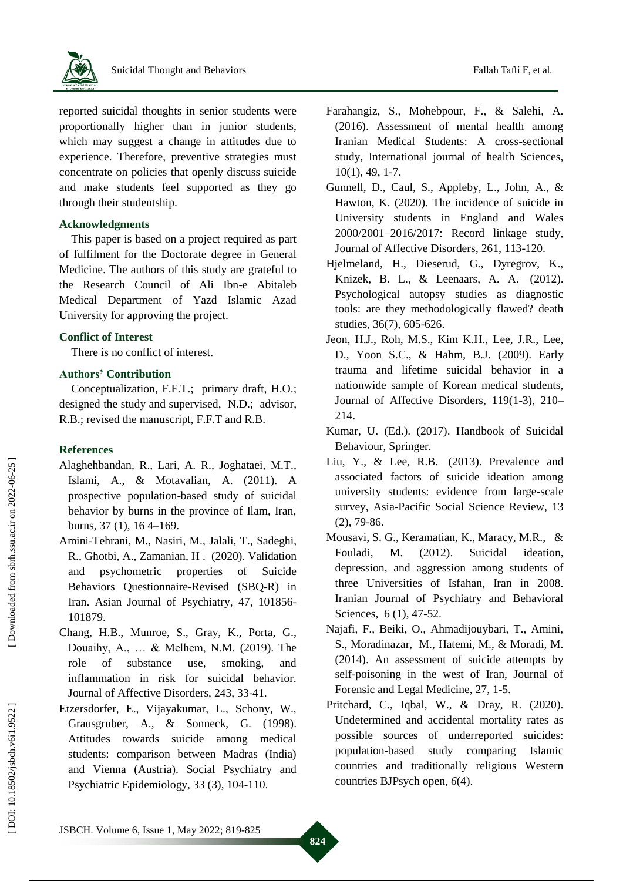reported suicidal thoughts in senior students were proportionally higher than in junior students, which may suggest a change in attitudes due to experience. Therefore, preventive strategies must concentrate on policies that openly discuss suicide and make student s feel supported as they go through their studentship.

## **Acknowledgments**

This paper is based on a project required as part of fulfilment for the Doctorate degree in General Medicine. The authors of this study are grateful to the Research Council of Ali Ibn -e Abitaleb Medical Department of Yazd Islamic Azad University for approving the project.

#### **Conflict of Interest**

There is no conflict of interest.

### **Authors' Contribution**

Conceptualization, F.F.T.; primary draft, H.O.; designed the study and supervised, N.D.; advisor, R . B.; revised the manuscript, F.F.T and R.B .

#### **References**

- Alaghehbandan, R., Lari, A. R., Joghataei, M.T., Islami, A., & Motavalian, A. (2011). A prospective population -based study of suicidal behavior by burns in the province of Ilam, Iran, burns, 37 (1), 16 4 –169.
- Amini [-Tehrani,](https://www.sciencedirect.com/science/article/abs/pii/S1876201819307282#!) M., [Nasiri,](https://www.sciencedirect.com/science/article/abs/pii/S1876201819307282#!) M., [Jalali,](https://www.sciencedirect.com/science/article/abs/pii/S1876201819307282#!) T., [Sadeghi,](https://www.sciencedirect.com/science/article/abs/pii/S1876201819307282#!) [R., Ghotbi,](https://www.sciencedirect.com/science/article/abs/pii/S1876201819307282#!) A., [Zamanian,](https://www.sciencedirect.com/science/article/abs/pii/S1876201819307282#!) H . (2020). Validation and psychometric properties of Suicide Behaviors Questionnaire -Revised (SBQ -R) in Iran. [Asian Journal of Psychiatry,](https://www.sciencedirect.com/science/journal/18762018) [47,](https://www.sciencedirect.com/science/journal/18762018/47/supp/C) 101856-101879.
- Chang, H.B., Munroe, S., Gray, K., Porta, G., Douaihy, A., … & Melhem, N.M. (2019). The role of substance use, smoking, and inflammation in risk for suicidal behavior. Journal of Affective Disorders, 243, 33 -41.
- Etzersdorfer, E., Vijayakumar, L., Schony, W., Grausgruber, A., & Sonneck, G. (1998). Attitudes towards suicide among medical students: comparison between Madras (India) and Vienna (Austria). Social Psychiatry and Psychiatric Epidemiology, 33 (3), 104 -110.
- Farahangiz, S., Mohebpour, F., & Salehi, A. (2016). Assessment of mental health among Iranian Medical Students: A cross -sectional study, International journal of health Sciences, 10(1), 49, 1 -7.
- Gunnell, D., Caul, S., Appleby, L., John, A., & Hawton, K. (2020). The incidence of suicide in University students in England and Wales 2000/2001 –2016/2017: Record linkage study, Journal of Affective Disorders, [261](https://www.sciencedirect.com/science/journal/01650327/261/supp/C) , 113 -120.
- Hjelmeland, H., Dieserud, G., Dyregrov, K., Knizek, B. L., & Leenaars, A. A. (2012). Psychological autopsy studies as diagnostic tools: are they methodologically flawed? death studies, 36(7), 605 -626.
- Jeon, H.J., Roh, M.S., Kim K.H., Lee, J.R., Lee, D., Yoon S.C., & Hahm, B.J. (2009). Early trauma and lifetime suicidal behavior in a nationwide sample of Korean medical students, Journal of Affective Disorders, 119(1-3), 210-214.
- Kumar, U. (Ed.). (2017). Handbook of Suicidal Behaviour, Springer.
- Liu, Y., & Lee, R.B. (2013). Prevalence and associated factors of suicide ideation among university students: evidence from large -scale survey, Asia -Pacific Social Science Review, 13  $(2)$ , 79-86.
- Mousavi, S. G., Keramatian, K., Maracy, M.R., & Fouladi, M. (2012). Suicidal ideation, depression, and aggression among students of three Universities of Isfahan, Iran in 2008. Iranian Journal of Psychiatry and Behavioral Sciences, 6 (1), 47-52.
- Najafi, F., Beiki, O., Ahmadijouybari, T., Amini, S., Moradinazar, M., Hatemi, M., & Moradi, M. (2014). An assessment of suicide attempts by self-poisoning in the west of Iran, Journal of Forensic and Legal Medicine, 27, 1 -5.
- Pritchard, C., Iqbal, W., & Dray, R. (2020). Undetermined and accidental mortality rates as possible sources of underreported suicides: population -based study comparing Islamic countries and traditionally religious Western countries BJPsych open, *6*(4).